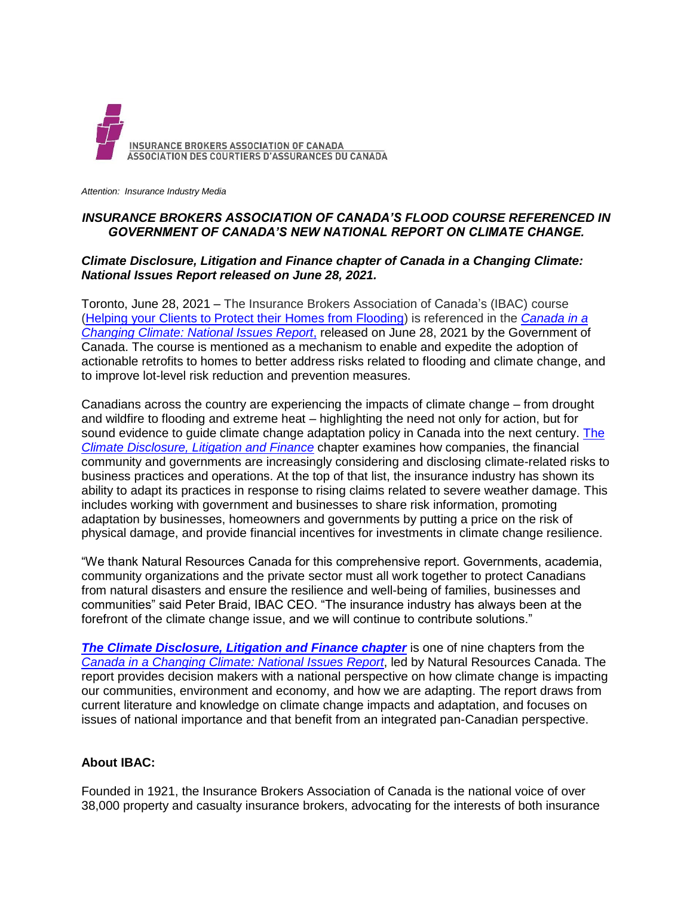

*Attention: Insurance Industry Media*

## *INSURANCE BROKERS ASSOCIATION OF CANADA'S FLOOD COURSE REFERENCED IN GOVERNMENT OF CANADA'S NEW NATIONAL REPORT ON CLIMATE CHANGE.*

## *Climate Disclosure, Litigation and Finance chapter of Canada in a Changing Climate: National Issues Report released on June 28, 2021.*

Toronto, June 28, 2021 – The Insurance Brokers Association of Canada's (IBAC) course [\(Helping your Clients to Protect their](https://homefloodprotect.ca/training/register/insurance) Homes from Flooding) is referenced in the *[Canada in a](https://changingclimate.ca/national-issues/)  [Changing Climate: National Issues](https://changingclimate.ca/national-issues/) Report*, released on June 28, 2021 by the Government of Canada. The course is mentioned as a mechanism to enable and expedite the adoption of actionable retrofits to homes to better address risks related to flooding and climate change, and to improve lot-level risk reduction and prevention measures.

Canadians across the country are experiencing the impacts of climate change – from drought and wildfire to flooding and extreme heat – highlighting the need not only for action, but for sound evidence to quide climate change adaptation policy in Canada into the next century. The *[Climate Disclosure, Litigation and Finance](https://changingclimate.ca/national-issues/chapter/8-0/)* chapter examines how companies, the financial community and governments are increasingly considering and disclosing climate-related risks to business practices and operations. At the top of that list, the insurance industry has shown its ability to adapt its practices in response to rising claims related to severe weather damage. This includes working with government and businesses to share risk information, promoting adaptation by businesses, homeowners and governments by putting a price on the risk of physical damage, and provide financial incentives for investments in climate change resilience.

"We thank Natural Resources Canada for this comprehensive report. Governments, academia, community organizations and the private sector must all work together to protect Canadians from natural disasters and ensure the resilience and well-being of families, businesses and communities" said Peter Braid, IBAC CEO. "The insurance industry has always been at the forefront of the climate change issue, and we will continue to contribute solutions."

*[The Climate Disclosure, Litigation and Finance chapter](https://changingclimate.ca/national-issues/chapter/8-0/)* is one of nine chapters from the *[Canada in a Changing Climate: National](https://changingclimate.ca/national-issues/) Issues Report*, led by Natural Resources Canada. The report provides decision makers with a national perspective on how climate change is impacting our communities, environment and economy, and how we are adapting. The report draws from current literature and knowledge on climate change impacts and adaptation, and focuses on issues of national importance and that benefit from an integrated pan-Canadian perspective.

## **About IBAC:**

Founded in 1921, the Insurance Brokers Association of Canada is the national voice of over 38,000 property and casualty insurance brokers, advocating for the interests of both insurance